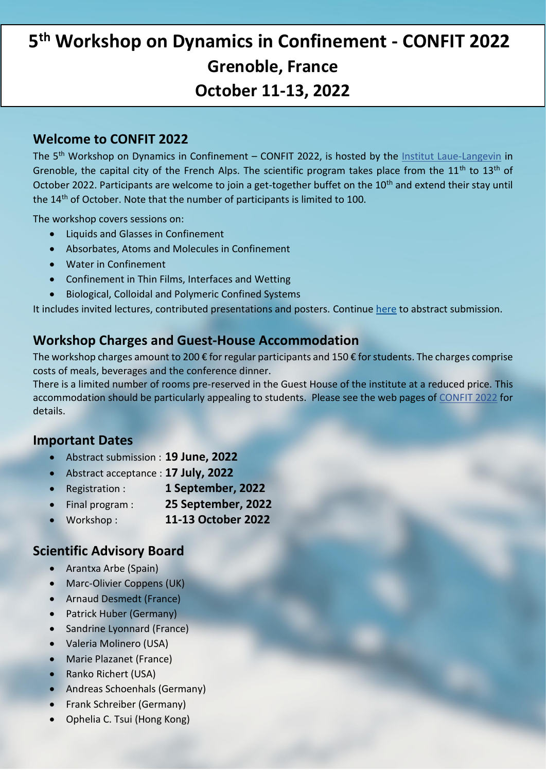# **5 th [Workshop on Dynamics in Confinement -](https://workshops.ill.fr/event/259/) CONFIT 2022 [Grenoble, France](https://workshops.ill.fr/event/259/) [October 11-13, 2022](https://workshops.ill.fr/event/259/)**

#### **Welcome to CONFIT 2022**

The 5<sup>th</sup> Workshop on Dynamics in Confinement – CONFIT 2022, is hosted by the [Institut Laue-Langevin](https://www.ill.eu/) in Grenoble, the capital city of the French Alps. The scientific program takes place from the  $11<sup>th</sup>$  to  $13<sup>th</sup>$  of October 2022. Participants are welcome to join a get-together buffet on the 10<sup>th</sup> and extend their stay until the 14<sup>th</sup> of October. Note that the number of participants is limited to 100.

The workshop covers sessions on:

- Liquids and Glasses in Confinement
- Absorbates, Atoms and Molecules in Confinement
- Water in Confinement
- Confinement in Thin Films, Interfaces and Wetting
- Biological, Colloidal and Polymeric Confined Systems

It includes invited lectures, contributed presentations and posters. Continue [here](https://workshops.ill.fr/event/259/abstracts/) to abstract submission.

### **Workshop Charges and Guest-House Accommodation**

The workshop charges amount to 200  $\epsilon$  for regular participants and 150  $\epsilon$  for students. The charges comprise costs of meals, beverages and the conference dinner.

There is a limited number of rooms pre-reserved in the Guest House of the institute at a reduced price. This accommodation should be particularly appealing to students. Please see the web pages of [CONFIT 2022](https://workshops.ill.fr/event/259/) for details.

### **Important Dates**

- Abstract submission : **19 June, 2022**
- Abstract acceptance : **17 July, 2022**
- Registration : **1 September, 2022**
- Final program : **25 September, 2022**
- Workshop : **11-13 October 2022**

### **Scientific Advisory Board**

- Arantxa Arbe (Spain)
- Marc-Olivier Coppens (UK)
- Arnaud Desmedt (France)
- Patrick Huber (Germany)
- Sandrine Lyonnard (France)
- Valeria Molinero (USA)
- Marie Plazanet (France)
- Ranko Richert (USA)
- Andreas Schoenhals (Germany)
- Frank Schreiber (Germany)
- Ophelia C. Tsui (Hong Kong)